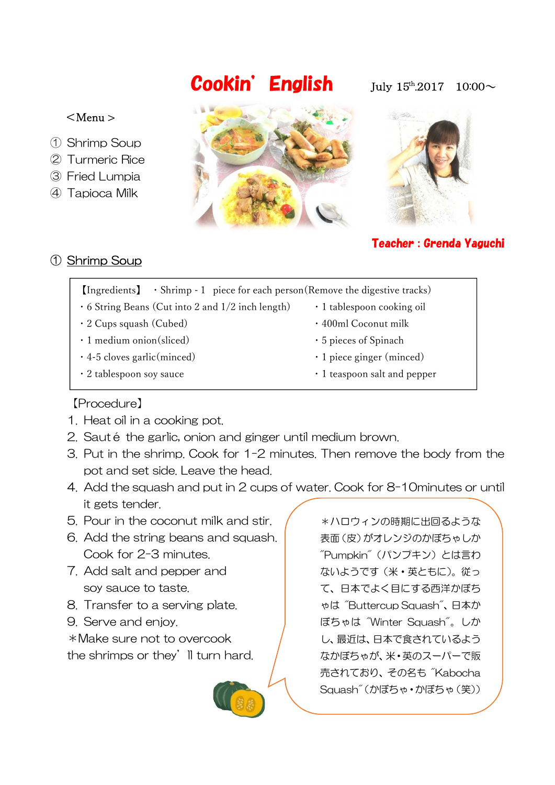# **Cookin' English** July  $15^{\text{th}}.2017$   $10:00\sim$

#### $<$ Menu  $>$

- ① Shrimp Soup
- ② Turmeric Rice
- ③ Fried Lumpia
- ④ Tapioca Milk





# Teacher : Grenda Yaguchi

# ① Shrimp Soup

- $\left[\text{Ingredients}\right] \cdot \text{Shrimp 1 piece for each person}$  (Remove the digestive tracks)
- $\cdot$  6 String Beans (Cut into 2 and 1/2 inch length)  $\cdot$  1 tablespoon cooking oil
- 2 Cups squash (Cubed) 400ml Coconut milk
- 1 medium onion(sliced) 5 pieces of Spinach
- 4-5 cloves garlic(minced) 1 piece ginger (minced)
- 
- 
- 
- 
- 
- 2 tablespoon soy sauce **• 1** teaspoon salt and pepper

## 【Procedure】

- 1. Heat oil in a cooking pot.
- 2. Sauté the garlic, onion and ginger until medium brown.
- 3. Put in the shrimp. Cook for 1-2 minutes. Then remove the body from the pot and set side. Leave the head.
- 4. Add the squash and put in 2 cups of water. Cook for 8-10minutes or until it gets tender.
- 5. Pour in the coconut milk and stir.
- 6. Add the string beans and squash. Cook for 2-3 minutes.
- 7. Add salt and pepper and soy sauce to taste.
- 8. Transfer to a serving plate.
- 9. Serve and enjoy.

\*Make sure not to overcook the shrimps or they'll turn hard.



\*ハロウィンの時期に出回るような 表面(皮)がオレンジのかぼちゃしか "Pumpkin"(パンプキン)とは言わ ないようです(米・英ともに)。従っ て、日本でよく目にする西洋かぼち ゃは "Buttercup Squash"、日本か ぼちゃは "Winter Squash"。しか し、最近は、日本で食されているよう なかぼちゃが、米・英のスーパーで販 売されており、その名も "Kabocha Squash"(かぼちゃ・かぼちゃ(笑))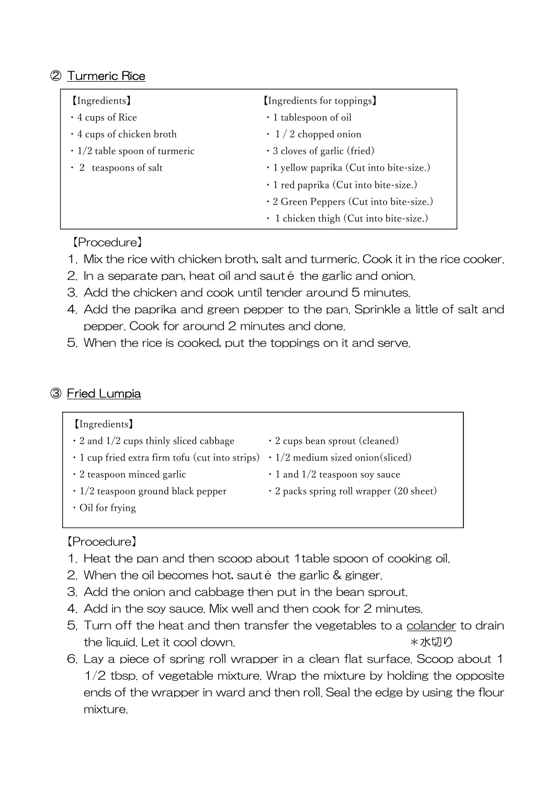### ② Turmeric Rice

| <i>(Ingredients)</i>                | [Ingredients for toppings]               |
|-------------------------------------|------------------------------------------|
| $\cdot$ 4 cups of Rice              | · 1 tablespoon of oil                    |
| $\cdot$ 4 cups of chicken broth     | $\cdot$ 1/2 chopped onion                |
| $\cdot$ 1/2 table spoon of turmeric | $\cdot$ 3 cloves of garlic (fried)       |
| $\cdot$ 2 teaspoons of salt         | · 1 yellow paprika (Cut into bite-size.) |
|                                     | · 1 red paprika (Cut into bite-size.)    |
|                                     | · 2 Green Peppers (Cut into bite-size.)  |
|                                     | · 1 chicken thigh (Cut into bite-size.)  |

#### 【Procedure】

- 1. Mix the rice with chicken broth, salt and turmeric. Cook it in the rice cooker.
- 2. In a separate pan, heat oil and sauté the garlic and onion.
- 3. Add the chicken and cook until tender around 5 minutes.
- 4. Add the paprika and green pepper to the pan. Sprinkle a little of salt and pepper. Cook for around 2 minutes and done.
- 5. When the rice is cooked, put the toppings on it and serve.

#### ③ Fried Lumpia

| <i>(Ingredients)</i>                                  |                                                |
|-------------------------------------------------------|------------------------------------------------|
| $\cdot$ 2 and 1/2 cups thinly sliced cabbage          | $\cdot$ 2 cups bean sprout (cleaned)           |
| $\cdot$ 1 cup fried extra firm tofu (cut into strips) | $\cdot$ 1/2 medium sized onion(sliced)         |
| $\cdot$ 2 teaspoon minced garlic                      | $\cdot$ 1 and 1/2 teaspoon soy sauce           |
| $\cdot$ 1/2 teaspoon ground black pepper              | $\cdot$ 2 packs spring roll wrapper (20 sheet) |
| $\cdot$ Oil for frying                                |                                                |
|                                                       |                                                |

#### 【Procedure】

- 1. Heat the pan and then scoop about 1table spoon of cooking oil.
- 2. When the oil becomes hot, sauté the garlic & ginger.
- 3. Add the onion and cabbage then put in the bean sprout.
- 4. Add in the soy sauce. Mix well and then cook for 2 minutes.
- 5. Turn off the heat and then transfer the vegetables to a colander to drain the liquid. Let it cool down.  $* x$ 水切り
- 6. Lay a piece of spring roll wrapper in a clean flat surface. Scoop about 1 1/2 tbsp. of vegetable mixture. Wrap the mixture by holding the opposite ends of the wrapper in ward and then roll. Seal the edge by using the flour mixture.